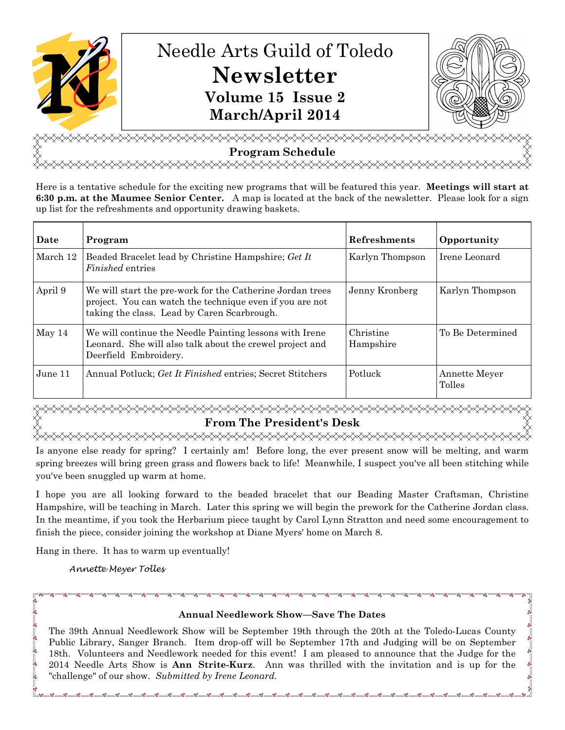

# **Program Schedule**  <del></del>

Here is a tentative schedule for the exciting new programs that will be featured this year. **Meetings will start at 6:30 p.m. at the Maumee Senior Center.** A map is located at the back of the newsletter. Please look for a sign up list for the refreshments and opportunity drawing baskets.

| Date     | Program                                                                                                                                                              | Refreshments           | Opportunity             |
|----------|----------------------------------------------------------------------------------------------------------------------------------------------------------------------|------------------------|-------------------------|
| March 12 | Beaded Bracelet lead by Christine Hampshire; Get It<br><i>Finished</i> entries                                                                                       | Karlyn Thompson        | Irene Leonard           |
| April 9  | We will start the pre-work for the Catherine Jordan trees<br>project. You can watch the technique even if you are not<br>taking the class. Lead by Caren Scarbrough. | Jenny Kronberg         | Karlyn Thompson         |
| May 14   | We will continue the Needle Painting lessons with Irene<br>Leonard. She will also talk about the crewel project and<br>Deerfield Embroidery.                         | Christine<br>Hampshire | To Be Determined        |
| June 11  | Annual Potluck; Get It Finished entries; Secret Stitchers                                                                                                            | Potluck                | Annette Meyer<br>Tolles |

**From The President's Desk**  <del></del>

Is anyone else ready for spring? I certainly am! Before long, the ever present snow will be melting, and warm spring breezes will bring green grass and flowers back to life! Meanwhile, I suspect you've all been stitching while you've been snuggled up warm at home.

I hope you are all looking forward to the beaded bracelet that our Beading Master Craftsman, Christine Hampshire, will be teaching in March. Later this spring we will begin the prework for the Catherine Jordan class. In the meantime, if you took the Herbarium piece taught by Carol Lynn Stratton and need some encouragement to finish the piece, consider joining the workshop at Diane Myers' home on March 8.

Hang in there. It has to warm up eventually!

Annette Meyer Tolles

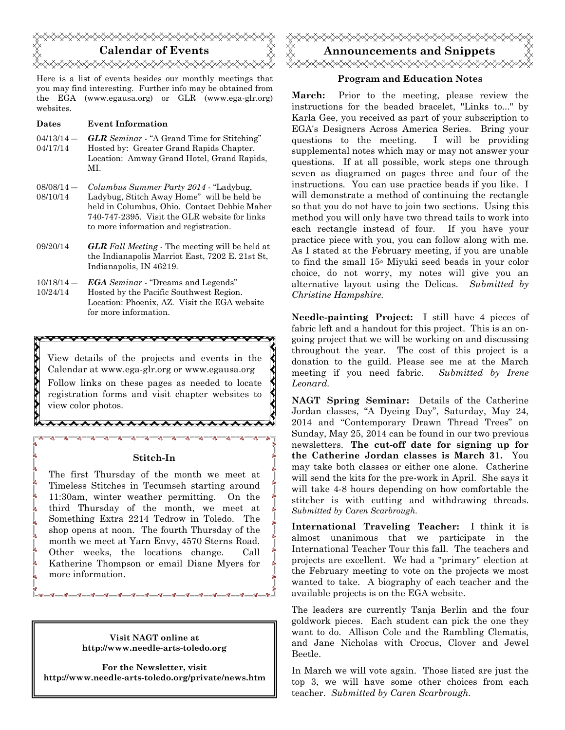

Here is a list of events besides our monthly meetings that you may find interesting. Further info may be obtained from the EGA (www.egausa.org) or GLR (www.ega-glr.org) websites.

#### **Dates Event Information**

- $04/13/14 -$ 04/17/14 *GLR Seminar* - "A Grand Time for Stitching" Hosted by: Greater Grand Rapids Chapter. Location: Amway Grand Hotel, Grand Rapids, MI.
- 08/08/14 ― 08/10/14 *Columbus Summer Party 2014* - "Ladybug, Ladybug, Stitch Away Home" will be held be held in Columbus, Ohio. Contact Debbie Maher 740-747-2395. Visit the GLR website for links to more information and registration.
- 09/20/14 *GLR Fall Meeting* The meeting will be held at the Indianapolis Marriot East, 7202 E. 21st St, Indianapolis, IN 46219.
- $10/18/14 -$ 10/24/14 *EGA Seminar* - "Dreams and Legends" Hosted by the Pacific Southwest Region. Location: Phoenix, AZ. Visit the EGA website for more information.

\*\*\*\*\*\*\*\*\*\*\*\*\*\*\*

\*\*\*\*\*\*\*\*\*\*\*\*\*

View details of the projects and events in the Calendar at www.ega-glr.org or www.egausa.org Follow links on these pages as needed to locate registration forms and visit chapter websites to view color photos.

#### **Stitch-In**

The first Thursday of the month we meet at Timeless Stitches in Tecumseh starting around 11:30am, winter weather permitting. On the third Thursday of the month, we meet at Something Extra 2214 Tedrow in Toledo. The shop opens at noon. The fourth Thursday of the month we meet at Yarn Envy, 4570 Sterns Road. Other weeks, the locations change. Call Katherine Thompson or email Diane Myers for more information.

> **Visit NAGT online at http://www.needle-arts-toledo.org**

**For the Newsletter, visit http://www.needle-arts-toledo.org/private/news.htm** 



#### **Program and Education Notes**

**March:** Prior to the meeting, please review the instructions for the beaded bracelet, "Links to..." by Karla Gee, you received as part of your subscription to EGA's Designers Across America Series. Bring your questions to the meeting. I will be providing supplemental notes which may or may not answer your questions. If at all possible, work steps one through seven as diagramed on pages three and four of the instructions. You can use practice beads if you like. I will demonstrate a method of continuing the rectangle so that you do not have to join two sections. Using this method you will only have two thread tails to work into each rectangle instead of four. If you have your practice piece with you, you can follow along with me. As I stated at the February meeting, if you are unable to find the small 15◦ Miyuki seed beads in your color choice, do not worry, my notes will give you an alternative layout using the Delicas. *Submitted by Christine Hampshire.*

**Needle-painting Project:** I still have 4 pieces of fabric left and a handout for this project. This is an ongoing project that we will be working on and discussing throughout the year. The cost of this project is a donation to the guild. Please see me at the March meeting if you need fabric. *Submitted by Irene Leonard.* 

**NAGT Spring Seminar:** Details of the Catherine Jordan classes, "A Dyeing Day", Saturday, May 24, 2014 and "Contemporary Drawn Thread Trees" on Sunday, May 25, 2014 can be found in our two previous newsletters. **The cut-off date for signing up for the Catherine Jordan classes is March 31.** You may take both classes or either one alone. Catherine will send the kits for the pre-work in April. She says it will take 4-8 hours depending on how comfortable the stitcher is with cutting and withdrawing threads. *Submitted by Caren Scarbrough.*

**International Traveling Teacher:** I think it is almost unanimous that we participate in the International Teacher Tour this fall. The teachers and projects are excellent. We had a "primary" election at the February meeting to vote on the projects we most wanted to take. A biography of each teacher and the available projects is on the EGA website.

The leaders are currently Tanja Berlin and the four goldwork pieces. Each student can pick the one they want to do. Allison Cole and the Rambling Clematis, and Jane Nicholas with Crocus, Clover and Jewel Beetle.

In March we will vote again. Those listed are just the top 3, we will have some other choices from each teacher. *Submitted by Caren Scarbrough.*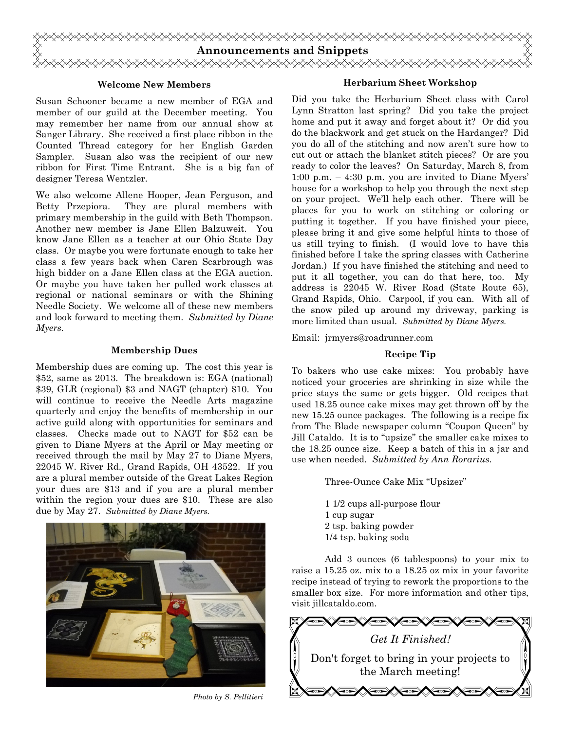

#### **Welcome New Members**

Susan Schooner became a new member of EGA and member of our guild at the December meeting. You may remember her name from our annual show at Sanger Library. She received a first place ribbon in the Counted Thread category for her English Garden Sampler. Susan also was the recipient of our new ribbon for First Time Entrant. She is a big fan of designer Teresa Wentzler.

We also welcome Allene Hooper, Jean Ferguson, and Betty Przepiora. They are plural members with primary membership in the guild with Beth Thompson. Another new member is Jane Ellen Balzuweit. You know Jane Ellen as a teacher at our Ohio State Day class. Or maybe you were fortunate enough to take her class a few years back when Caren Scarbrough was high bidder on a Jane Ellen class at the EGA auction. Or maybe you have taken her pulled work classes at regional or national seminars or with the Shining Needle Society. We welcome all of these new members and look forward to meeting them. *Submitted by Diane Myers.*

#### **Membership Dues**

Membership dues are coming up. The cost this year is \$52, same as 2013. The breakdown is: EGA (national) \$39, GLR (regional) \$3 and NAGT (chapter) \$10. You will continue to receive the Needle Arts magazine quarterly and enjoy the benefits of membership in our active guild along with opportunities for seminars and classes. Checks made out to NAGT for \$52 can be given to Diane Myers at the April or May meeting or received through the mail by May 27 to Diane Myers, 22045 W. River Rd., Grand Rapids, OH 43522. If you are a plural member outside of the Great Lakes Region your dues are \$13 and if you are a plural member within the region your dues are \$10. These are also due by May 27. *Submitted by Diane Myers.*



*Photo by S. Pellitieri* 

#### **Herbarium Sheet Workshop**

Did you take the Herbarium Sheet class with Carol Lynn Stratton last spring? Did you take the project home and put it away and forget about it? Or did you do the blackwork and get stuck on the Hardanger? Did you do all of the stitching and now aren't sure how to cut out or attach the blanket stitch pieces? Or are you ready to color the leaves? On Saturday, March 8, from 1:00 p.m. – 4:30 p.m. you are invited to Diane Myers' house for a workshop to help you through the next step on your project. We'll help each other. There will be places for you to work on stitching or coloring or putting it together. If you have finished your piece, please bring it and give some helpful hints to those of us still trying to finish. (I would love to have this finished before I take the spring classes with Catherine Jordan.) If you have finished the stitching and need to put it all together, you can do that here, too. My address is 22045 W. River Road (State Route 65), Grand Rapids, Ohio. Carpool, if you can. With all of the snow piled up around my driveway, parking is more limited than usual. *Submitted by Diane Myers.*

Email: jrmyers@roadrunner.com

#### **Recipe Tip**

To bakers who use cake mixes: You probably have noticed your groceries are shrinking in size while the price stays the same or gets bigger. Old recipes that used 18.25 ounce cake mixes may get thrown off by the new 15.25 ounce packages. The following is a recipe fix from The Blade newspaper column "Coupon Queen" by Jill Cataldo. It is to "upsize" the smaller cake mixes to the 18.25 ounce size. Keep a batch of this in a jar and use when needed. *Submitted by Ann Rorarius.*

Three-Ounce Cake Mix "Upsizer"

 1 1/2 cups all-purpose flour 1 cup sugar 2 tsp. baking powder 1/4 tsp. baking soda

 Add 3 ounces (6 tablespoons) to your mix to raise a 15.25 oz. mix to a 18.25 oz mix in your favorite recipe instead of trying to rework the proportions to the smaller box size. For more information and other tips, visit jillcataldo.com.

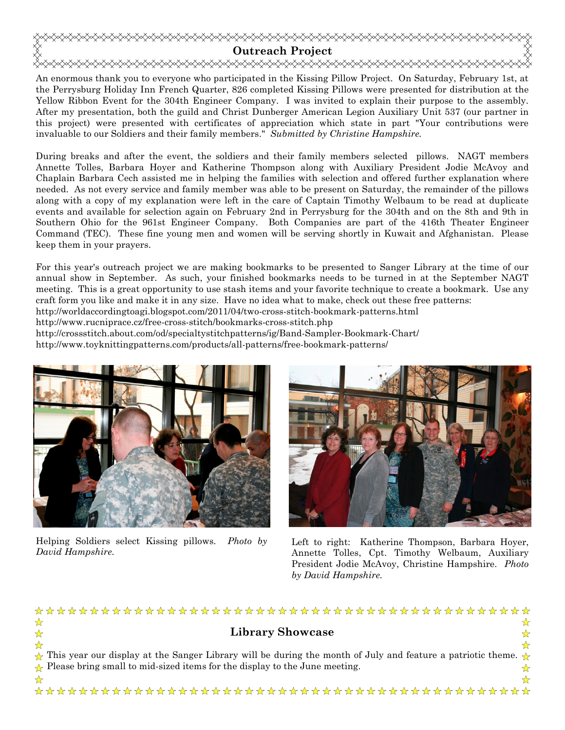

An enormous thank you to everyone who participated in the Kissing Pillow Project. On Saturday, February 1st, at the Perrysburg Holiday Inn French Quarter, 826 completed Kissing Pillows were presented for distribution at the Yellow Ribbon Event for the 304th Engineer Company. I was invited to explain their purpose to the assembly. After my presentation, both the guild and Christ Dunberger American Legion Auxiliary Unit 537 (our partner in this project) were presented with certificates of appreciation which state in part "Your contributions were invaluable to our Soldiers and their family members." *Submitted by Christine Hampshire.* 

During breaks and after the event, the soldiers and their family members selected pillows. NAGT members Annette Tolles, Barbara Hoyer and Katherine Thompson along with Auxiliary President Jodie McAvoy and Chaplain Barbara Cech assisted me in helping the families with selection and offered further explanation where needed. As not every service and family member was able to be present on Saturday, the remainder of the pillows along with a copy of my explanation were left in the care of Captain Timothy Welbaum to be read at duplicate events and available for selection again on February 2nd in Perrysburg for the 304th and on the 8th and 9th in Southern Ohio for the 961st Engineer Company. Both Companies are part of the 416th Theater Engineer Command (TEC). These fine young men and women will be serving shortly in Kuwait and Afghanistan. Please keep them in your prayers.

For this year's outreach project we are making bookmarks to be presented to Sanger Library at the time of our annual show in September. As such, your finished bookmarks needs to be turned in at the September NAGT meeting. This is a great opportunity to use stash items and your favorite technique to create a bookmark. Use any craft form you like and make it in any size. Have no idea what to make, check out these free patterns: http://worldaccordingtoagi.blogspot.com/2011/04/two-cross-stitch-bookmark-patterns.html

http://www.rucniprace.cz/free-cross-stitch/bookmarks-cross-stitch.php

http://crossstitch.about.com/od/specialtystitchpatterns/ig/Band-Sampler-Bookmark-Chart/

http://www.toyknittingpatterns.com/products/all-patterns/free-bookmark-patterns/



Helping Soldiers select Kissing pillows. *Photo by David Hampshire.*



Left to right: Katherine Thompson, Barbara Hoyer, Annette Tolles, Cpt. Timothy Welbaum, Auxiliary President Jodie McAvoy, Christine Hampshire. *Photo by David Hampshire.*

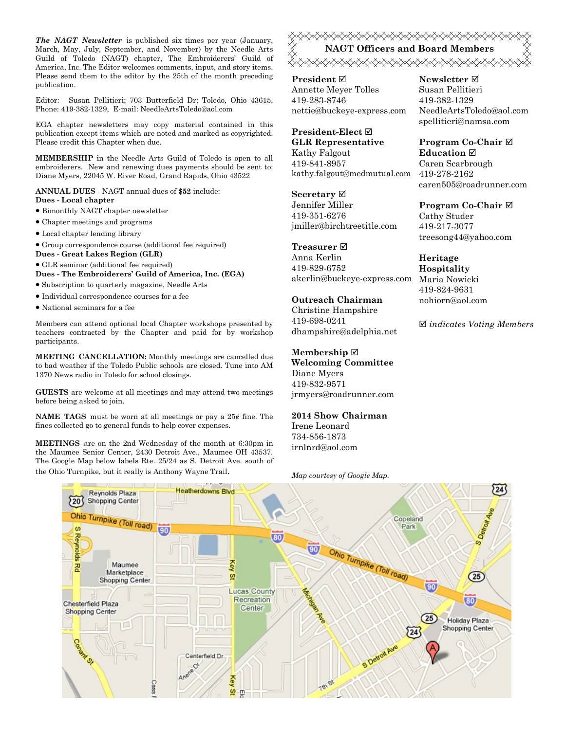*The NAGT Newsletter* is published six times per year (January, March, May, July, September, and November) by the Needle Arts Guild of Toledo (NAGT) chapter, The Embroiderers' Guild of America, Inc. The Editor welcomes comments, input, and story items. Please send them to the editor by the 25th of the month preceding publication.

Editor: Susan Pellitieri; 703 Butterfield Dr; Toledo, Ohio 43615, Phone: 419-382-1329, E-mail: NeedleArtsToledo@aol.com

EGA chapter newsletters may copy material contained in this publication except items which are noted and marked as copyrighted. Please credit this Chapter when due.

**MEMBERSHIP** in the Needle Arts Guild of Toledo is open to all embroiderers. New and renewing dues payments should be sent to: Diane Myers, 22045 W. River Road, Grand Rapids, Ohio 43522

**ANNUAL DUES** - NAGT annual dues of **\$52** include: **Dues - Local chapter** 

- Bimonthly NAGT chapter newsletter
- Chapter meetings and programs
- Local chapter lending library
- Group correspondence course (additional fee required)
- **Dues Great Lakes Region (GLR)**
- GLR seminar (additional fee required)

**Dues - The Embroiderers' Guild of America, Inc. (EGA)** 

- Subscription to quarterly magazine, Needle Arts
- Individual correspondence courses for a fee
- National seminars for a fee

Members can attend optional local Chapter workshops presented by teachers contracted by the Chapter and paid for by workshop participants.

**MEETING CANCELLATION:** Monthly meetings are cancelled due to bad weather if the Toledo Public schools are closed. Tune into AM 1370 News radio in Toledo for school closings.

**GUESTS** are welcome at all meetings and may attend two meetings before being asked to join.

**NAME TAGS** must be worn at all meetings or pay a 25¢ fine. The fines collected go to general funds to help cover expenses.

**MEETINGS** are on the 2nd Wednesday of the month at 6:30pm in the Maumee Senior Center, 2430 Detroit Ave., Maumee OH 43537. The Google Map below labels Rte. 25/24 as S. Detroit Ave. south of <del></del> **NAGT Officers and Board Members**  

**President** Annette Meyer Tolles 419-283-8746 nettie@buckeye-express.com

**President-Elect GLR Representative** Kathy Falgout 419-841-8957 kathy.falgout@medmutual.com

**Secretary** Jennifer Miller 419-351-6276 jmiller@birchtreetitle.com

**Treasurer**  Anna Kerlin 419-829-6752

## **Outreach Chairman**

Christine Hampshire 419-698-0241 dhampshire@adelphia.net

#### **Membership**

**Welcoming Committee**  Diane Myers 419-832-9571 jrmyers@roadrunner.com

**2014 Show Chairman**  Irene Leonard

734-856-1873 irnlnrd@aol.com

#### **Newsletter**  Susan Pellitieri 419-382-1329 NeedleArtsToledo@aol.com spellitieri@namsa.com

**Program Co-Chair Education**  Caren Scarbrough 419-278-2162 caren505@roadrunner.com

**Program Co-Chair**  Cathy Studer 419-217-3077 treesong44@yahoo.com

akerlin@buckeye-express.com Maria Nowicki **Heritage Hospitality**  419-824-9631 nohiorn@aol.com

*indicates Voting Members*